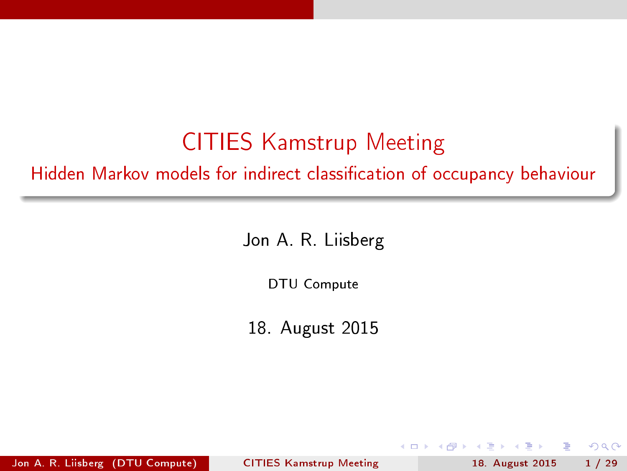### CITIES Kamstrup Meeting

Hidden Markov models for indirect classification of occupancy behaviour

Jon A. R. Liisberg

DTU Compute

18. August 2015

Jon A. R. Liisberg (DTU Compute) [CITIES Kamstrup Meeting](#page-28-0) 18. August 2015 1/29

<span id="page-0-0"></span> $QQ$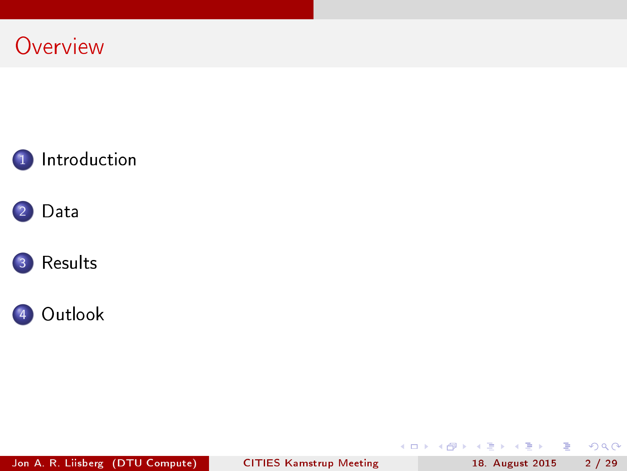**Overview** 









Jon A. R. Liisberg (DTU Compute) [CITIES Kamstrup Meeting](#page-0-0) 18. August 2015 2 / 29

(B)

 $2990$ 

 $($  ロ )  $($  何 )  $($  ヨ )  $($  ヨ  $)$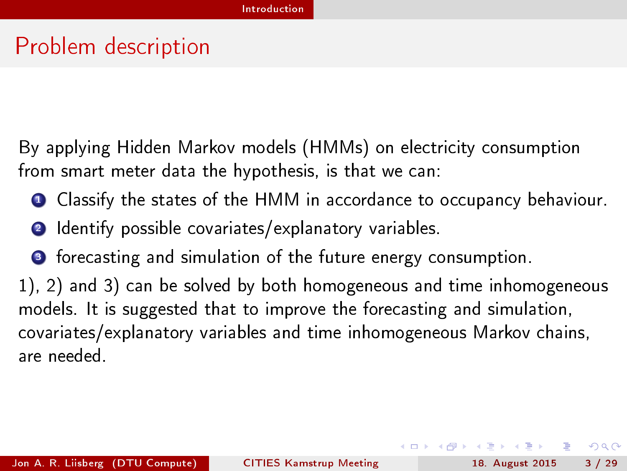### Problem description

By applying Hidden Markov models (HMMs) on electricity consumption from smart meter data the hypothesis, is that we can:

- **Q** Classify the states of the HMM in accordance to occupancy behaviour.
- 2 Identify possible covariates/explanatory variables.
- <sup>3</sup> forecasting and simulation of the future energy consumption.

1), 2) and 3) can be solved by both homogeneous and time inhomogeneous models. It is suggested that to improve the forecasting and simulation, covariates/explanatory variables and time inhomogeneous Markov chains, are needed.

<span id="page-2-0"></span> $QQ$ 

( ロ ) ( 何 ) ( ヨ ) ( ヨ )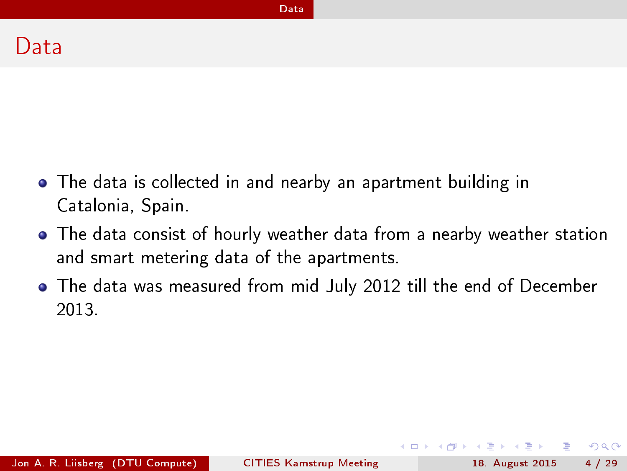The data is collected in and nearby an apartment building in Catalonia, Spain.

[Data](#page-3-0)

- The data consist of hourly weather data from a nearby weather station and smart metering data of the apartments.
- The data was measured from mid July 2012 till the end of December 2013.

Jon A. R. Liisberg (DTU Compute) [CITIES Kamstrup Meeting](#page-0-0) 18. August 2015 4 / 29

<span id="page-3-0"></span> $QQ$ 

医氯化医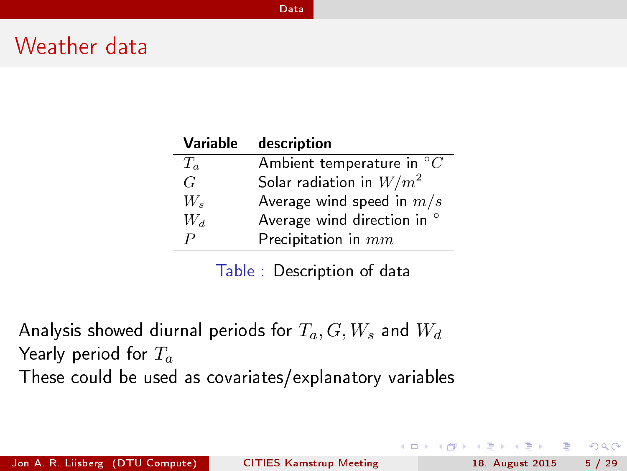### Weather data

| Variable         | description                          |
|------------------|--------------------------------------|
| $T_a$            | Ambient temperature in ${}^{\circ}C$ |
| G                | Solar radiation in $W/m^2$           |
| W,               | Average wind speed in $m/s$          |
| $W_d$            | Average wind direction in °          |
| $\boldsymbol{P}$ | Precipitation in $mm$                |

[Data](#page-4-0)

Table : Description of data

Analysis showed diurnal periods for  $T_a, G, W_s$  and  $W_d$ Yearly period for  $T_a$ These could be used as covariates/explanatory variables

- 3

<span id="page-4-0"></span> $\Omega$ 

( ロ ) ( 何 ) ( ヨ ) ( ヨ )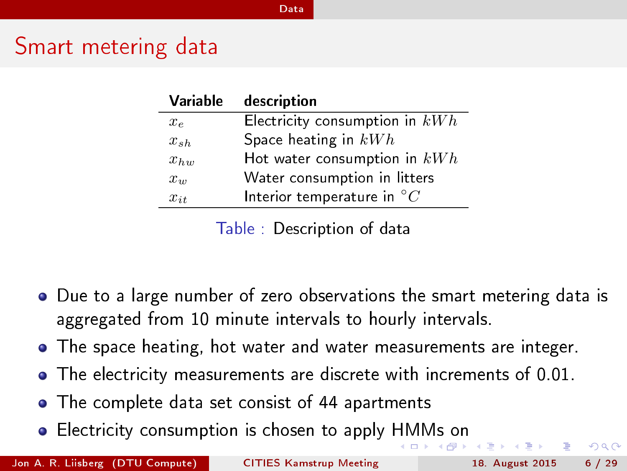### Smart metering data

| Variable | description                           |
|----------|---------------------------------------|
| $x_{e}$  | Electricity consumption in $kWh$      |
| $x_{sh}$ | Space heating in $kWh$                |
| $x_{hw}$ | Hot water consumption in $kWh$        |
| $x_w$    | Water consumption in litters          |
| $x_{it}$ | Interior temperature in ${}^{\circ}C$ |

[Data](#page-5-0)

Table : Description of data

- Due to a large number of zero observations the smart metering data is aggregated from 10 minute intervals to hourly intervals.
- The space heating, hot water and water measurements are integer.
- The electricity measurements are discrete with increments of 0.01.
- The complete data set consist of 44 apartments
- Electricity consumption is chosen to apply [HM](#page-4-0)[M](#page-6-0)[s](#page-4-0) [o](#page-5-0)[n](#page-6-0)

Jon A. R. Liisberg (DTU Compute) [CITIES Kamstrup Meeting](#page-0-0) 18. August 2015 6 / 29

<span id="page-5-0"></span> $QQ$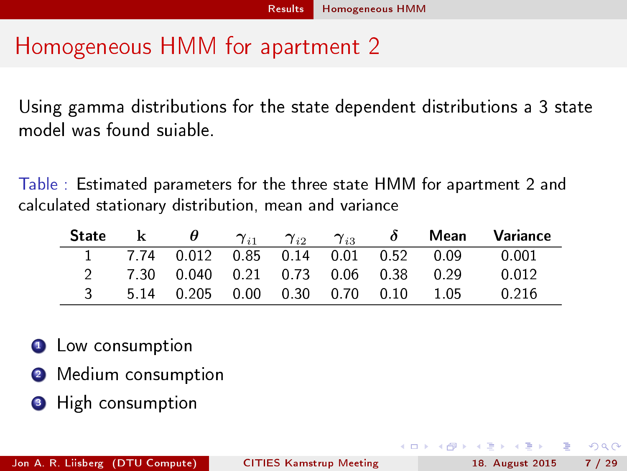### Homogeneous HMM for apartment 2

Using gamma distributions for the state dependent distributions a 3 state model was found suiable.

Table : Estimated parameters for the three state HMM for apartment 2 and calculated stationary distribution, mean and variance

| <b>State</b> |                                     |  |  |                                       | k $\theta$ $\gamma_{i1}$ $\gamma_{i2}$ $\gamma_{i3}$ $\delta$ Mean Variance |
|--------------|-------------------------------------|--|--|---------------------------------------|-----------------------------------------------------------------------------|
|              |                                     |  |  | 1 7.74 0.012 0.85 0.14 0.01 0.52 0.09 |                                                                             |
|              | 7.30 0.040 0.21 0.73 0.06 0.38 0.29 |  |  |                                       | 0 0 1 2                                                                     |
|              |                                     |  |  |                                       | 0.216                                                                       |

- **1** Low consumption
- <sup>2</sup> Medium consumption
- **3** High consumption

<span id="page-6-0"></span> $QQ$ 

医下环医下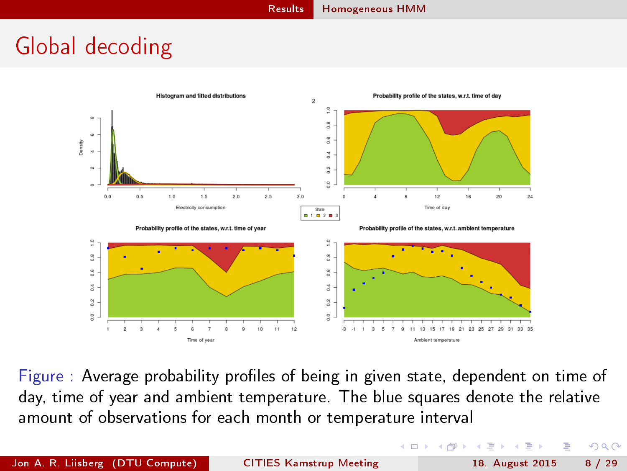## Global decoding



Figure : Average probability profiles of being in given state, dependent on time of day, time of year and ambient temperature. The blue squares denote the relative amount of observations for each month or temperature interval

<span id="page-7-0"></span> $200$ 

(□ ) (f)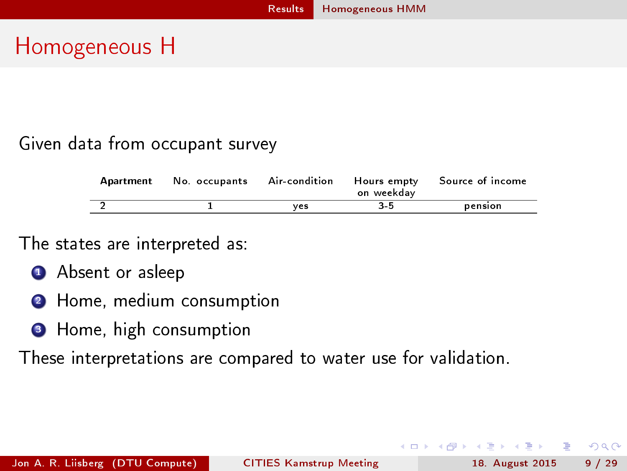### Homogeneous H

### Given data from occupant survey

| Apartment | No. occupants | Air-condition | Hours empty<br>on weekdav | Source of income |
|-----------|---------------|---------------|---------------------------|------------------|
|           |               | ves           | 3-5                       | pension          |

### The states are interpreted as:

- **4** Absent or asleep
- <sup>2</sup> Home, medium consumption
- **3** Home, high consumption

These interpretations are compared to water use for validation.

<span id="page-8-0"></span> $\Omega$ 

化重新润滑脂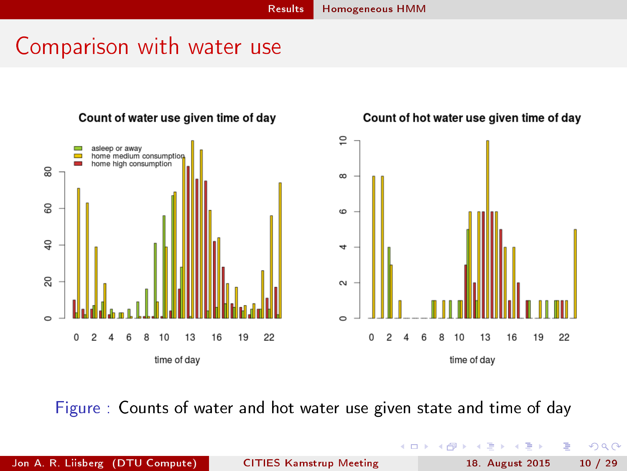### Comparison with water use



Figure : Counts of water and hot water use given state and time of day

Þ

<span id="page-9-0"></span>n. э

Þ

4 D F

有

 $\mathcal{A}$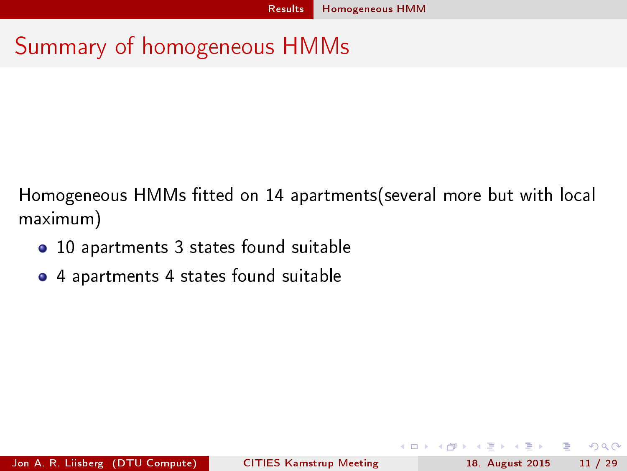## Summary of homogeneous HMMs

Homogeneous HMMs tted on 14 apartments(several more but with local maximum)

- 10 apartments 3 states found suitable
- 4 apartments 4 states found suitable

Jon A. R. Liisberg (DTU Compute) [CITIES Kamstrup Meeting](#page-0-0) 18. August 2015 11 / 29

<span id="page-10-0"></span>÷.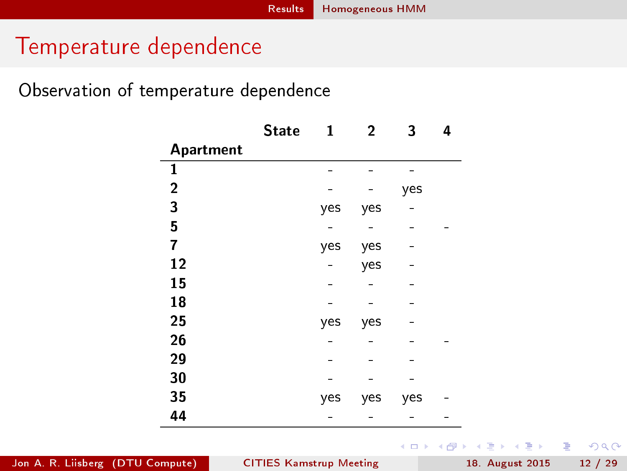### Temperature dependence

Observation of temperature dependence

|                | <b>State</b> | 1   | 2   | 3   | 4 |
|----------------|--------------|-----|-----|-----|---|
| Apartment      |              |     |     |     |   |
| $\mathbf{1}$   |              |     |     |     |   |
| $\overline{2}$ |              |     |     | yes |   |
| 3              |              | yes | yes |     |   |
| 5              |              |     |     |     |   |
| 7              |              | yes | yes |     |   |
| 12             |              |     | yes |     |   |
| 15             |              |     |     |     |   |
| 18             |              |     |     |     |   |
| 25             |              | yes | yes |     |   |
| 26             |              |     |     |     |   |
| 29             |              |     |     |     |   |
| 30             |              |     |     |     |   |
| 35             |              | yes | yes | yes |   |
| 44             |              |     |     |     |   |

Jon A. R. Liisberg (DTU Compute) [CITIES Kamstrup Meeting](#page-0-0) 18. August 2015 12 / 29

イロト イ押ト イヨト イヨト

<span id="page-11-0"></span>

÷.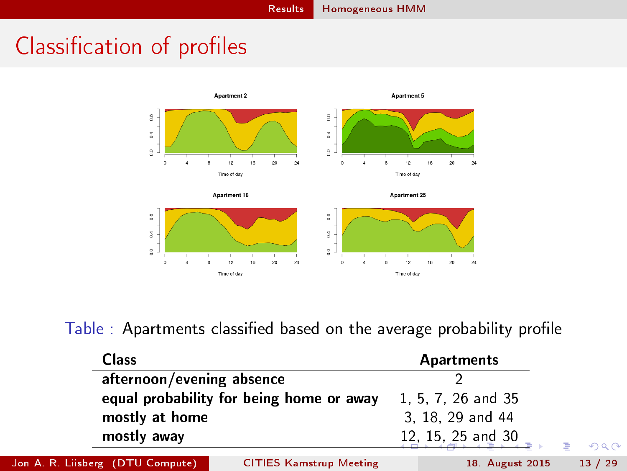## Classification of profiles



<span id="page-12-0"></span>Table : Apartments classified based on the average probability profile

| <b>Class</b>                     |                                          | Apartments         |    |         |
|----------------------------------|------------------------------------------|--------------------|----|---------|
| afternoon/evening absence        |                                          |                    |    |         |
|                                  | equal probability for being home or away | 1, 5, 7, 26 and 35 |    |         |
| mostly at home                   |                                          | 3 18 29 and 44     |    |         |
| mostly away                      |                                          | 12, 15, 25 and 30  | G. | 2090    |
| Jon A. R. Liisberg (DTU Compute) | <b>CITIES Kamstrup Meeting</b>           | 18. August 2015    |    | 13 / 29 |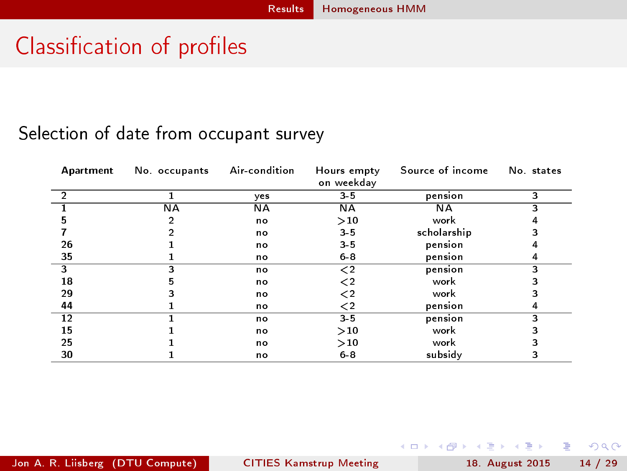## Classification of profiles

### Selection of date from occupant survey

| Apartment | No occupants | Air condition | Hours empty<br>on weekday | Source of income | No. states |
|-----------|--------------|---------------|---------------------------|------------------|------------|
| 2         |              | ves           | $3 - 5$                   | pension          | 3          |
|           | <b>NA</b>    | <b>NA</b>     | <b>NA</b>                 | ΝA               |            |
|           |              | n o           | >10                       | work             |            |
|           |              | n o           | $3 - 5$                   | scholarship      |            |
| 26        |              | n o           | $3 - 5$                   | pension          |            |
| 35        |              | n o           | $6 - 8$                   | pension          |            |
| 3         |              | n o           | $\mathord{<}2$            | pension          |            |
| 18        | 5            | n o           | $\mathord{<}2$            | work             |            |
| 29        |              | n o           | ≤2                        | work             |            |
| 44        |              | n o           | ≤2                        | pension          | 4          |
| 12        |              | n o           | $3 - 5$                   | pension          |            |
| 15        |              | n o           | >10                       | work             |            |
| 25        |              | n o           | >10                       | work             |            |
| 30        |              | n o           | $6 - 8$                   | subsidy          |            |

ロ }  $4$   $4$   $\oplus$  }  $4$   $\oplus$  }  $4$   $\oplus$  }

<span id="page-13-0"></span>÷.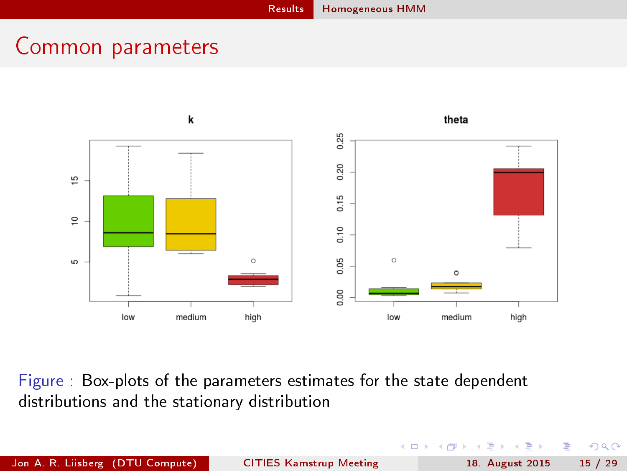### Common parameters



Figure : Box-plots of the parameters estimates for the state dependent distributions and the stationary distribution

Jon A. R. Liisberg (DTU Compute) [CITIES Kamstrup Meeting](#page-0-0) 18. August 2015 15 / 29

÷  $\mathbf{h}$  $\mathcal{A}$ 

Þ . p Þ <span id="page-14-0"></span> $\Omega$ 

 $\leftarrow$ 

卢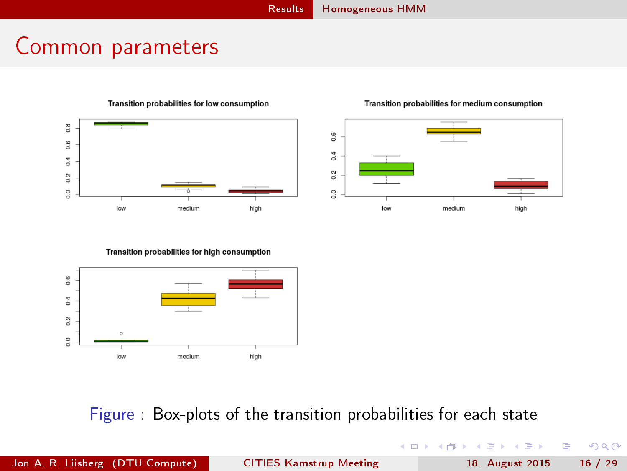### Common parameters



#### Transition probabilities for low consumption

#### Transition probabilities for medium consumption



#### Transition probabilities for high consumption



### Figure : Box-plots of the transition probabilities for each state

Jon A. R. Liisberg (DTU Compute) [CITIES Kamstrup Meeting](#page-0-0) 18. August 2015 16 / 29

э

<span id="page-15-0"></span> $QQ$ 

 $($  ロ )  $($  何 )  $($  ヨ )  $($  ヨ  $)$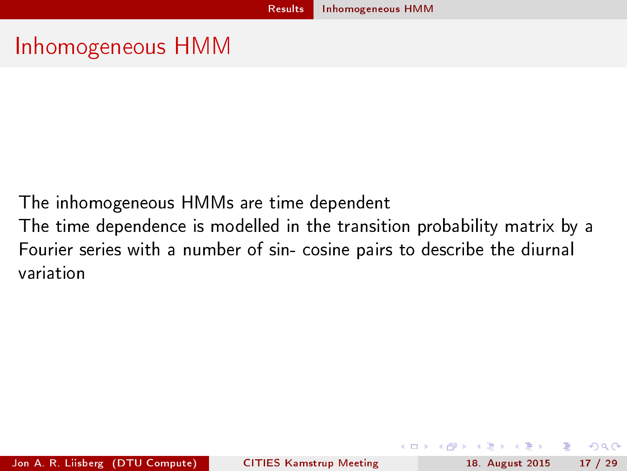### Inhomogeneous HMM

The inhomogeneous HMMs are time dependent

The time dependence is modelled in the transition probability matrix by a Fourier series with a number of sin- cosine pairs to describe the diurnal variation

<span id="page-16-0"></span>Jon A. R. Liisberg (DTU Compute) [CITIES Kamstrup Meeting](#page-0-0) 18. August 2015 17 / 29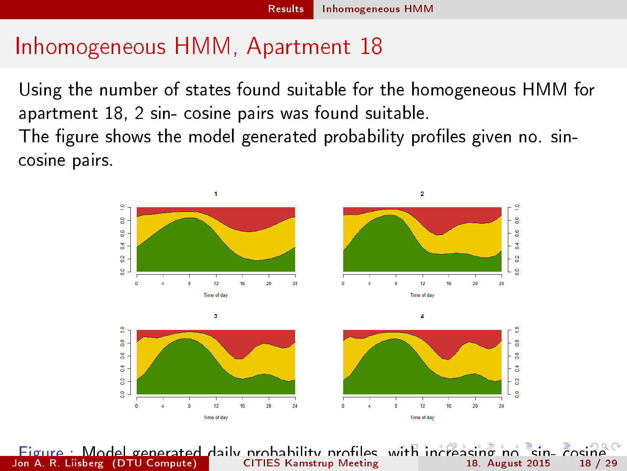### Inhomogeneous HMM, Apartment 18

Using the number of states found suitable for the homogeneous HMM for apartment 18, 2 sin- cosine pairs was found suitable. The figure shows the model generated probability profiles given no. sincosine pairs.

<span id="page-17-0"></span>

Figure : Model generated daily probability profiles, [wit](#page-16-0)h [i](#page-18-0)[nc](#page-16-0)[re](#page-17-0)[as](#page-18-0)[i](#page-15-0)[n](#page-16-0)[g](#page-22-0) [n](#page-23-0)[o](#page-5-0) fa[in](#page-28-0), Fosine<br>18 (18 metric of the CITIES Kamstrup Meeting in the August 2015 in 18 (29 metric) pairs in the transition probabilities Jon A. R. Liisberg (DTU Compute)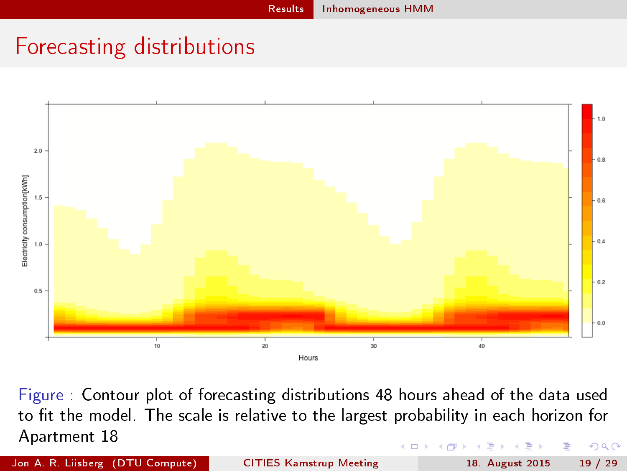## Forecasting distributions



Figure : Contour plot of forecasting distributions 48 hours ahead of the data used to fit the model. The scale is relative to the largest probability in each horizon for Apartment 18  $\Omega$ 

Jon A. R. Liisberg (DTU Compute) [CITIES Kamstrup Meeting](#page-0-0) 18. August 2015 19 / 29

<span id="page-18-0"></span>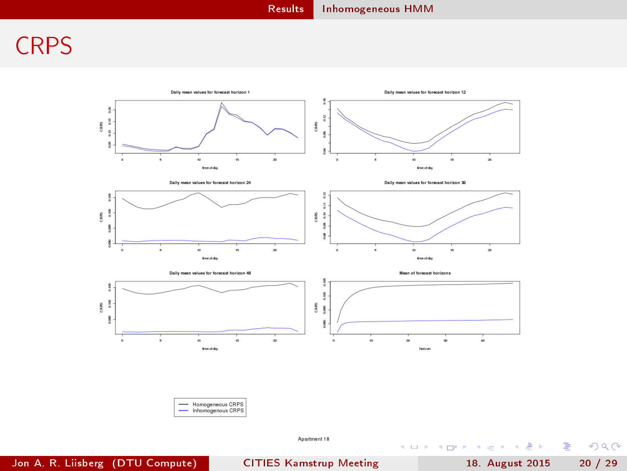### **CRPS**



<span id="page-19-0"></span> $299$ 

重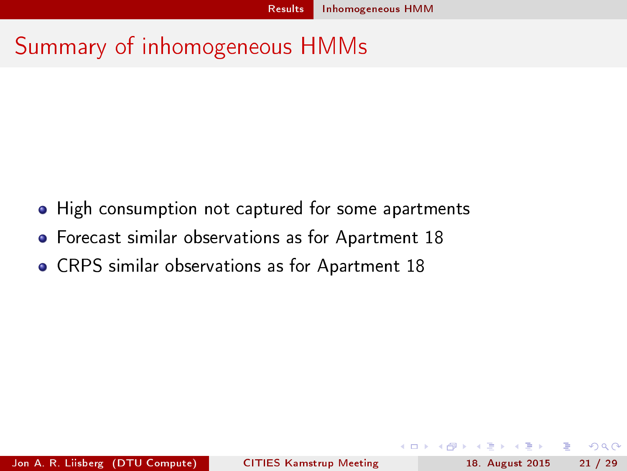### Summary of inhomogeneous HMMs

- High consumption not captured for some apartments
- Forecast similar observations as for Apartment 18
- CRPS similar observations as for Apartment 18

<span id="page-20-0"></span>э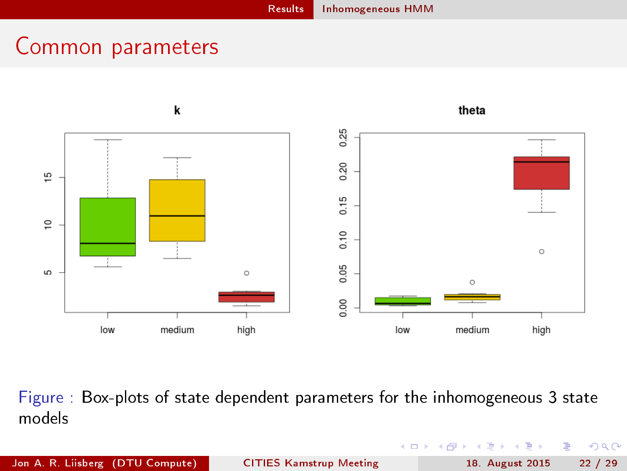### Common parameters



Figure : Box-plots of state dependent parameters for the inhomogeneous 3 state models

Þ . p э

÷

4 D F 4 母 <span id="page-21-0"></span> $QQ$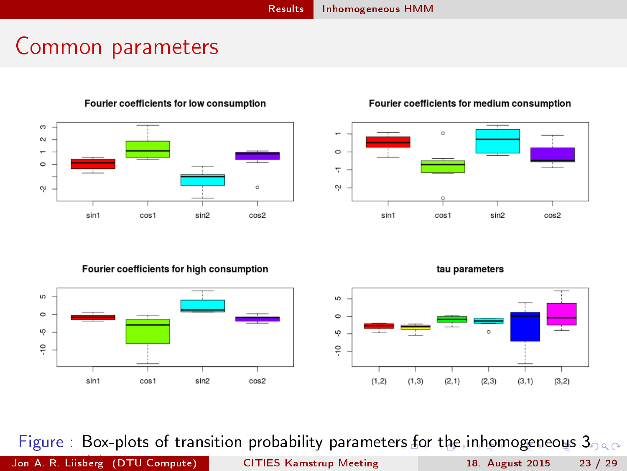### Common parameters



Fourier coefficients for low consumption

### Fourier coefficients for medium consumption



Fourier coefficients for high consumption



<span id="page-22-0"></span>tau parameters



Figure : Box-plots of transition probability paramete[rs](#page-21-0) f[or](#page-23-0) [t](#page-21-0)[he](#page-22-0) [i](#page-23-0)[n](#page-28-0)[h](#page-16-0)[o](#page-5-0)[m](#page-23-0)o[g](#page-6-0)[e](#page-27-0)n[eo](#page-0-0)us  $3_{0.9}$ Jon A. R. Liisberg (DTU Compute) State Meeting The models [CITIES Kamstrup Meeting](#page-0-0) 18. August 2015 23 / 29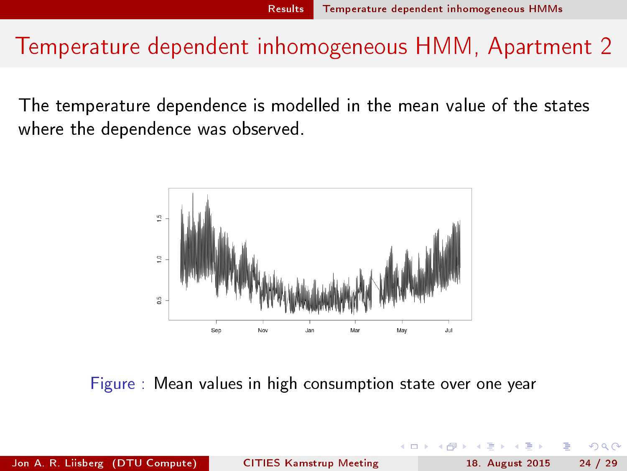### Temperature dependent inhomogeneous HMM, Apartment 2

The temperature dependence is modelled in the mean value of the states where the dependence was observed.



Figure : Mean values in high consumption state over one year

Jon A. R. Liisberg (DTU Compute) [CITIES Kamstrup Meeting](#page-0-0) 18. August 2015 24 / 29

<span id="page-23-0"></span>つひひ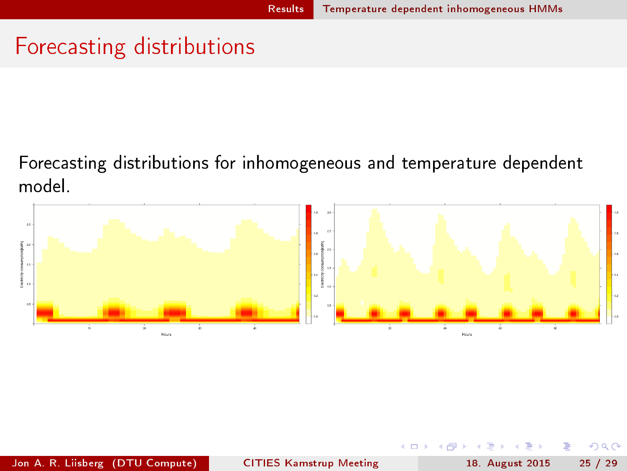### Forecasting distributions

Forecasting distributions for inhomogeneous and temperature dependent model.

<span id="page-24-0"></span>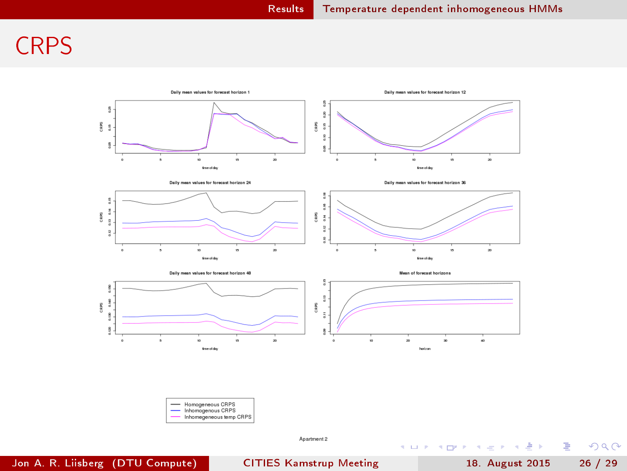### **CRPS**



 $\mathcal{F}_{\text{max}}$  . Critical comparison between the homogeneous model, the homogeneous model, the homogeneous model, the homogeneous model, the homogeneous model, the homogeneous model, the homogeneous model, the homogeneous Jon A. R. Liisberg (DTU Compute) [CITIES Kamstrup Meeting](#page-0-0) 18. August 2015 26 / 29

重

<span id="page-25-0"></span> $299$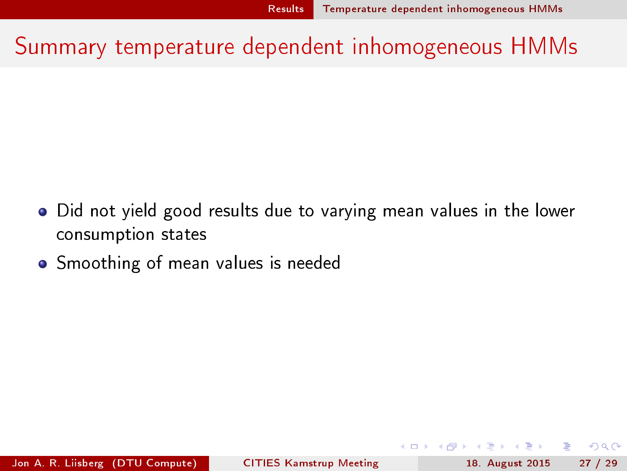Summary temperature dependent inhomogeneous HMMs

- Did not yield good results due to varying mean values in the lower  $\bullet$ consumption states
- **•** Smoothing of mean values is needed

<span id="page-26-0"></span>Jon A. R. Liisberg (DTU Compute) [CITIES Kamstrup Meeting](#page-0-0) 18. August 2015 27 / 29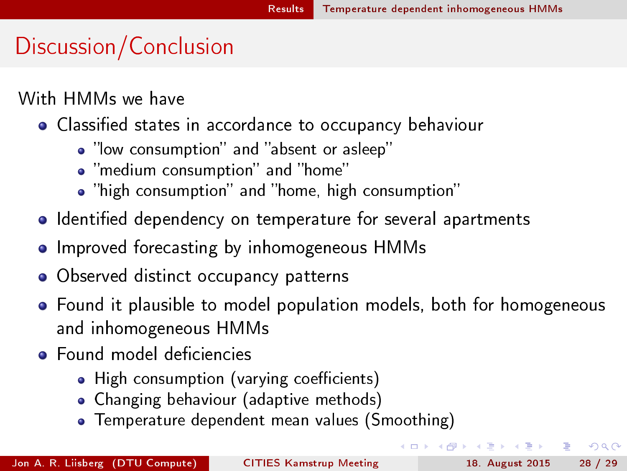# Discussion/Conclusion

With HMMs we have

- Classified states in accordance to occupancy behaviour
	- "low consumption" and "absent or asleep"
	- "medium consumption" and "home"
	- "high consumption" and "home, high consumption"
- **I** Identified dependency on temperature for several apartments
- **•** Improved forecasting by inhomogeneous HMMs
- Observed distinct occupancy patterns
- Found it plausible to model population models, both for homogeneous and inhomogeneous HMMs
- Found model deficiencies
	- High consumption (varying coefficients)
	- Changing behaviour (adaptive methods)
	- **•** Temperature dependent mean values (Smoothing)

÷.

<span id="page-27-0"></span> $QQ$ 

(□ ) (何 )